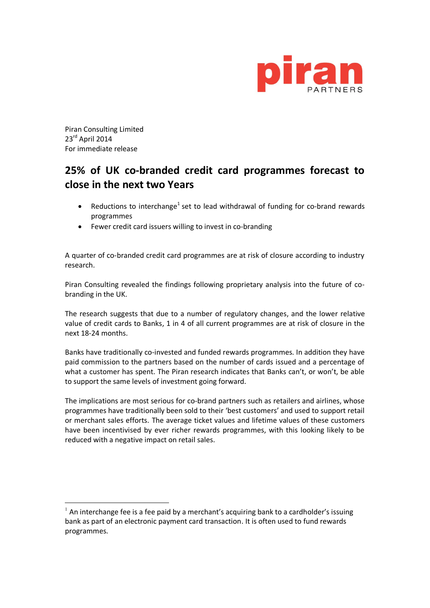

Piran Consulting Limited 23rd April 2014 For immediate release

 $\overline{a}$ 

## **25% of UK co-branded credit card programmes forecast to close in the next two Years**

- Reductions to interchange<sup>1</sup> set to lead withdrawal of funding for co-brand rewards programmes
- Fewer credit card issuers willing to invest in co-branding

A quarter of co-branded credit card programmes are at risk of closure according to industry research.

Piran Consulting revealed the findings following proprietary analysis into the future of cobranding in the UK.

The research suggests that due to a number of regulatory changes, and the lower relative value of credit cards to Banks, 1 in 4 of all current programmes are at risk of closure in the next 18-24 months.

Banks have traditionally co-invested and funded rewards programmes. In addition they have paid commission to the partners based on the number of cards issued and a percentage of what a customer has spent. The Piran research indicates that Banks can't, or won't, be able to support the same levels of investment going forward.

The implications are most serious for co-brand partners such as retailers and airlines, whose programmes have traditionally been sold to their 'best customers' and used to support retail or merchant sales efforts. The average ticket values and lifetime values of these customers have been incentivised by ever richer rewards programmes, with this looking likely to be reduced with a negative impact on retail sales.

 $<sup>1</sup>$  An interchange fee is a fee paid by a merchant's acquiring bank to a cardholder's issuing</sup> bank as part of an electronic payment card transaction. It is often used to fund rewards programmes.